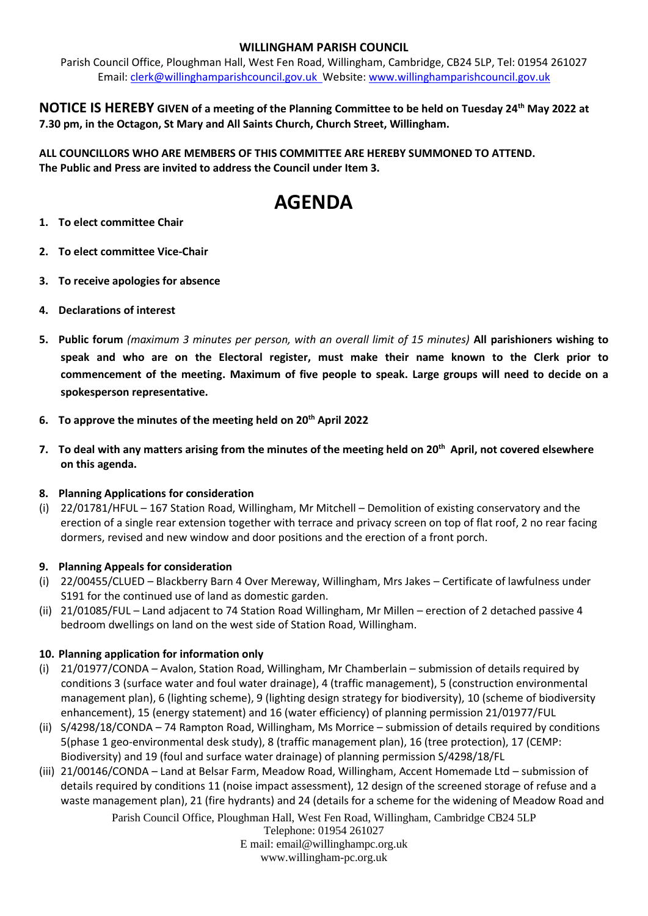# **WILLINGHAM PARISH COUNCIL**

Parish Council Office, Ploughman Hall, West Fen Road, Willingham, Cambridge, CB24 5LP, Tel: 01954 261027 Email: [clerk@willinghamparishcouncil.gov.uk](mailto:clerk@willinghamparishcouncil.gov.uk) Website: [www.willinghamparishcouncil.gov.uk](http://www.willinghamparishcouncil.gov.uk/)

**NOTICE IS HEREBY GIVEN of a meeting of the Planning Committee to be held on Tuesday 24th May 2022 at 7.30 pm, in the Octagon, St Mary and All Saints Church, Church Street, Willingham.**

**ALL COUNCILLORS WHO ARE MEMBERS OF THIS COMMITTEE ARE HEREBY SUMMONED TO ATTEND. The Public and Press are invited to address the Council under Item 3.**

# **AGENDA**

- **1. To elect committee Chair**
- **2. To elect committee Vice-Chair**
- **3. To receive apologies for absence**
- **4. Declarations of interest**
- **5. Public forum** *(maximum 3 minutes per person, with an overall limit of 15 minutes)* **All parishioners wishing to speak and who are on the Electoral register, must make their name known to the Clerk prior to commencement of the meeting. Maximum of five people to speak. Large groups will need to decide on a spokesperson representative.**
- **6. To approve the minutes of the meeting held on 20th April 2022**
- **7. To deal with any matters arising from the minutes of the meeting held on 20th April, not covered elsewhere on this agenda.**

### **8. Planning Applications for consideration**

(i) 22/01781/HFUL – 167 Station Road, Willingham, Mr Mitchell – Demolition of existing conservatory and the erection of a single rear extension together with terrace and privacy screen on top of flat roof, 2 no rear facing dormers, revised and new window and door positions and the erection of a front porch.

### **9. Planning Appeals for consideration**

- (i) 22/00455/CLUED Blackberry Barn 4 Over Mereway, Willingham, Mrs Jakes Certificate of lawfulness under S191 for the continued use of land as domestic garden.
- (ii) 21/01085/FUL Land adjacent to 74 Station Road Willingham, Mr Millen erection of 2 detached passive 4 bedroom dwellings on land on the west side of Station Road, Willingham.

# **10. Planning application for information only**

- (i) 21/01977/CONDA Avalon, Station Road, Willingham, Mr Chamberlain submission of details required by conditions 3 (surface water and foul water drainage), 4 (traffic management), 5 (construction environmental management plan), 6 (lighting scheme), 9 (lighting design strategy for biodiversity), 10 (scheme of biodiversity enhancement), 15 (energy statement) and 16 (water efficiency) of planning permission 21/01977/FUL
- (ii) S/4298/18/CONDA 74 Rampton Road, Willingham, Ms Morrice submission of details required by conditions 5(phase 1 geo-environmental desk study), 8 (traffic management plan), 16 (tree protection), 17 (CEMP: Biodiversity) and 19 (foul and surface water drainage) of planning permission S/4298/18/FL
- (iii) 21/00146/CONDA Land at Belsar Farm, Meadow Road, Willingham, Accent Homemade Ltd submission of details required by conditions 11 (noise impact assessment), 12 design of the screened storage of refuse and a waste management plan), 21 (fire hydrants) and 24 (details for a scheme for the widening of Meadow Road and

Parish Council Office, Ploughman Hall, West Fen Road, Willingham, Cambridge CB24 5LP

Telephone: 01954 261027 E mail: email@willinghampc.org.uk

www.willingham-pc.org.uk